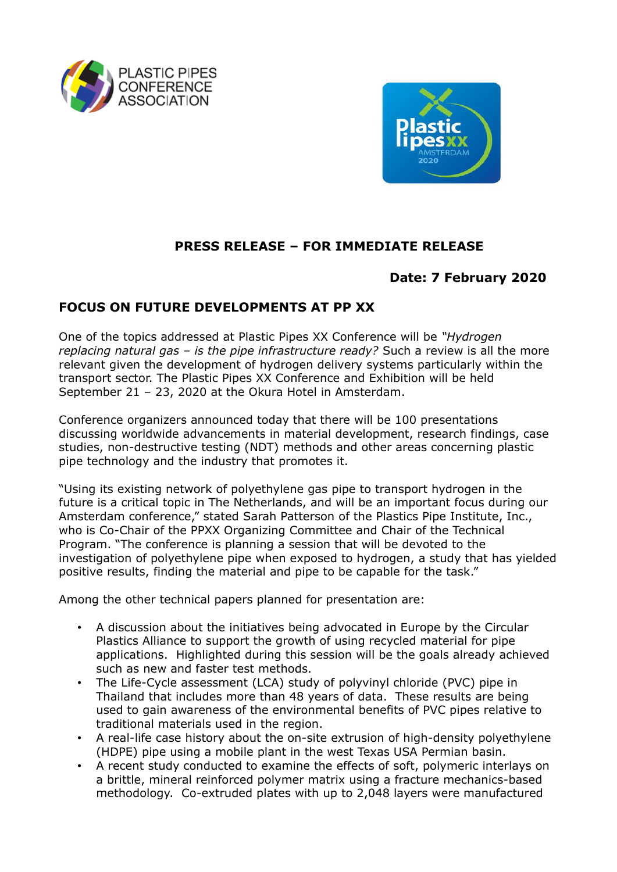



# **PRESS RELEASE – FOR IMMEDIATE RELEASE**

## **Date: 7 February 2020**

# **FOCUS ON FUTURE DEVELOPMENTS AT PP XX**

One of the topics addressed at Plastic Pipes XX Conference will be *"Hydrogen replacing natural gas – is the pipe infrastructure ready?* Such a review is all the more relevant given the development of hydrogen delivery systems particularly within the transport sector. The Plastic Pipes XX Conference and Exhibition will be held September 21 – 23, 2020 at the Okura Hotel in Amsterdam.

Conference organizers announced today that there will be 100 presentations discussing worldwide advancements in material development, research findings, case studies, non-destructive testing (NDT) methods and other areas concerning plastic pipe technology and the industry that promotes it.

"Using its existing network of polyethylene gas pipe to transport hydrogen in the future is a critical topic in The Netherlands, and will be an important focus during our Amsterdam conference," stated Sarah Patterson of the Plastics Pipe Institute, Inc., who is Co-Chair of the PPXX Organizing Committee and Chair of the Technical Program. "The conference is planning a session that will be devoted to the investigation of polyethylene pipe when exposed to hydrogen, a study that has yielded positive results, finding the material and pipe to be capable for the task."

Among the other technical papers planned for presentation are:

- A discussion about the initiatives being advocated in Europe by the Circular Plastics Alliance to support the growth of using recycled material for pipe applications. Highlighted during this session will be the goals already achieved such as new and faster test methods.
- The Life-Cycle assessment (LCA) study of polyvinyl chloride (PVC) pipe in Thailand that includes more than 48 years of data. These results are being used to gain awareness of the environmental benefits of PVC pipes relative to traditional materials used in the region.
- A real-life case history about the on-site extrusion of high-density polyethylene (HDPE) pipe using a mobile plant in the west Texas USA Permian basin.
- A recent study conducted to examine the effects of soft, polymeric interlays on a brittle, mineral reinforced polymer matrix using a fracture mechanics-based methodology. Co-extruded plates with up to 2,048 layers were manufactured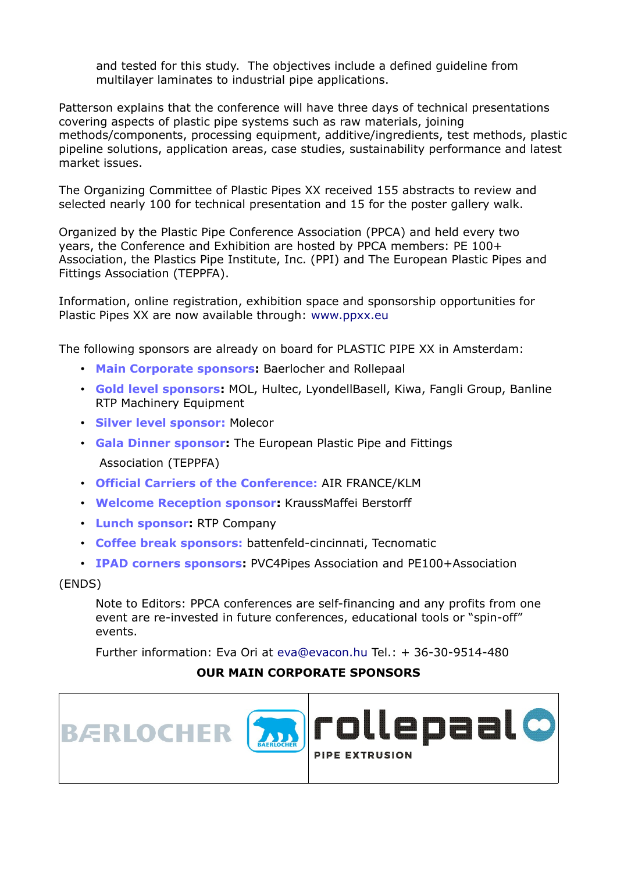and tested for this study. The objectives include a defined guideline from multilayer laminates to industrial pipe applications.

Patterson explains that the conference will have three days of technical presentations covering aspects of plastic pipe systems such as raw materials, joining methods/components, processing equipment, additive/ingredients, test methods, plastic pipeline solutions, application areas, case studies, sustainability performance and latest market issues.

The Organizing Committee of Plastic Pipes XX received 155 abstracts to review and selected nearly 100 for technical presentation and 15 for the poster gallery walk.

Organized by the Plastic Pipe Conference Association (PPCA) and held every two years, the Conference and Exhibition are hosted by PPCA members: PE 100+ Association, the Plastics Pipe Institute, Inc. (PPI) and The European Plastic Pipes and Fittings Association (TEPPFA).

Information, online registration, exhibition space and sponsorship opportunities for Plastic Pipes XX are now available through: www.ppxx.eu

The following sponsors are already on board for PLASTIC PIPE XX in Amsterdam:

- **Main Corporate sponsors:** Baerlocher and Rollepaal
- **Gold level sponsors:** MOL, Hultec, LyondellBasell, Kiwa, Fangli Group, Banline RTP Machinery Equipment
- **Silver level sponsor:** Molecor
- **Gala Dinner sponsor:** The European Plastic Pipe and Fittings Association (TEPPFA)
- **Official Carriers of the Conference:** AIR FRANCE/KLM
- **Welcome Reception sponsor:** KraussMaffei Berstorff
- **Lunch sponsor:** RTP Company
- **Coffee break sponsors:** battenfeld-cincinnati, Tecnomatic
- **IPAD corners sponsors:** PVC4Pipes Association and PE100+Association

(ENDS)

Note to Editors: PPCA conferences are self-financing and any profits from one event are re-invested in future conferences, educational tools or "spin-off" events.

Further information: Eva Ori at eva@evacon.hu Tel.: + 36-30-9514-480

#### **OUR MAIN CORPORATE SPONSORS**

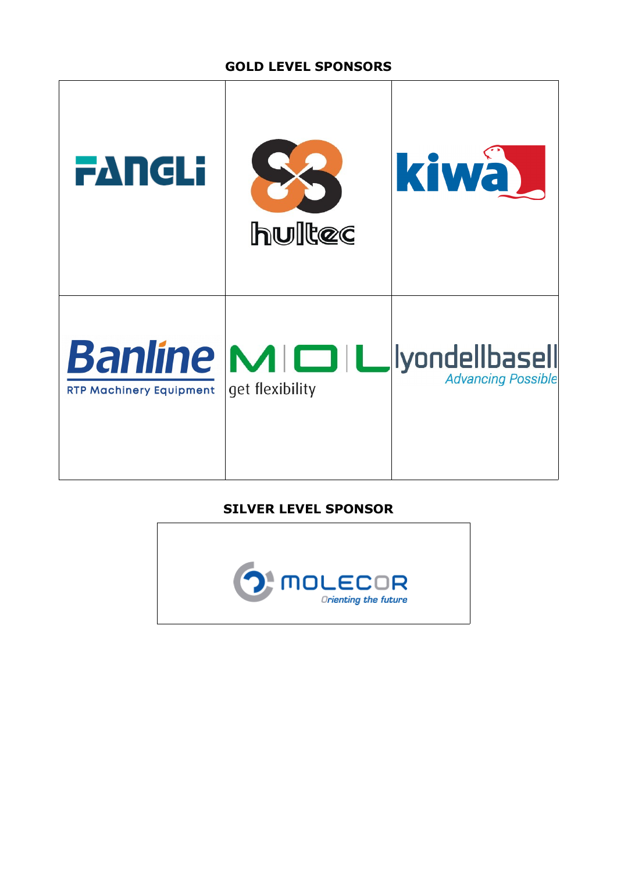# **GOLD LEVEL SPONSORS**

| <b>FANGLI</b>                  | hultec                                  | kiwa 1                                             |
|--------------------------------|-----------------------------------------|----------------------------------------------------|
| <b>RTP Machinery Equipment</b> | <b>Banline MIOIL</b><br>get flexibility | <b>Iyondellbasell</b><br><b>Advancing Possible</b> |

**SILVER LEVEL SPONSOR**

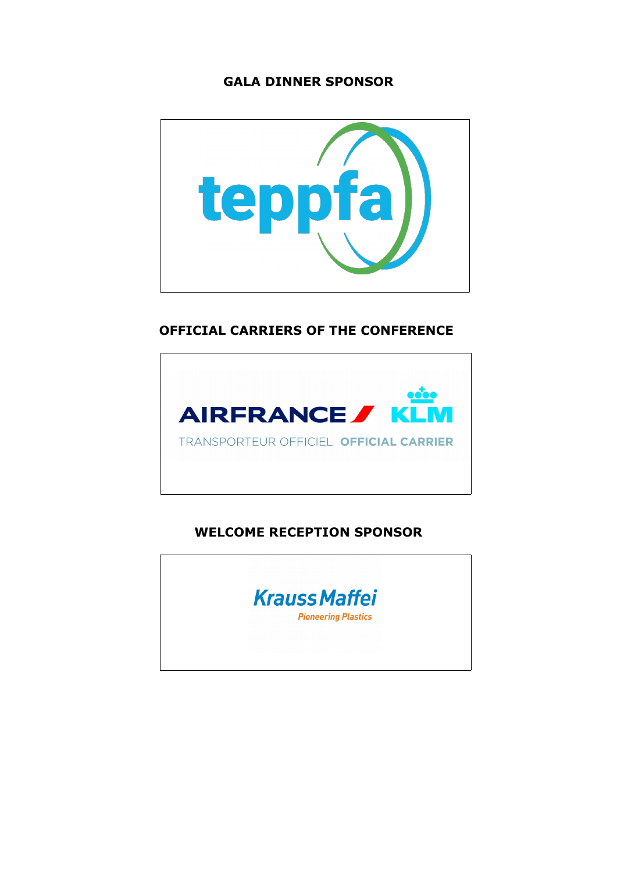### **GALA DINNER SPONSOR**



### **OFFICIAL CARRIERS OF THE CONFERENCE**



## **WELCOME RECEPTION SPONSOR**